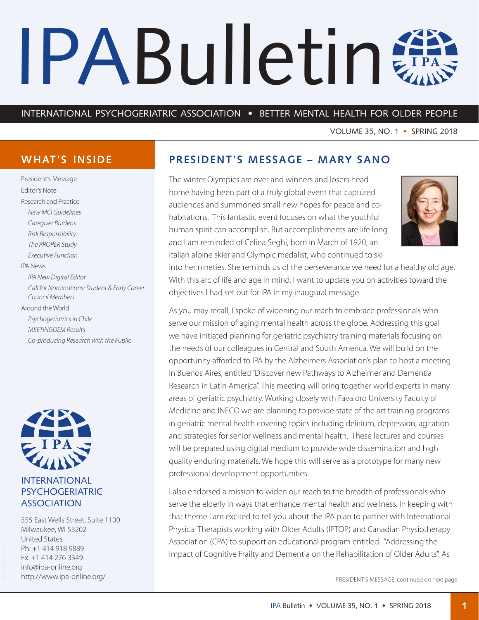# <span id="page-0-0"></span>IPABulletin #

## INTERNATIONAL PSYCHOGERIATRIC ASSOCIATION • BETTER MENTAL HEALTH FOR OLDER PEOPLE

VOLUME 35, NO. 1 • SPRING 2018

# **WHAT'S INSIDE**

President's Message Editor's Note Research and Practice *New MCI Guidelines Caregiver Burdens Risk Responsibility The PROPER Study Executive Function* IPA News *IPA New Digital Editor Call for Nominations: Student & Early Career Council Members* Around the World *Psychogeriatrics in Chile MEETINGDEM Results Co-producing Research with the Public*



## INTERNATIONAL PSYCHOGERIATRIC ASSOCIATION

555 East Wells Street, Suite 1100 Milwaukee, WI 53202 United States Ph: +1 414 918 9889 Fx: +1 414 276 3349 [info@ipa-online.org](mailto:info%40ipa-online.org?subject=) <http://www.ipa-online.org/>

## **PRESIDENT'S MESSAGE – MARY SANO**

The winter Olympics are over and winners and losers head home having been part of a truly global event that captured audiences and summoned small new hopes for peace and cohabitations. This fantastic event focuses on what the youthful human spirit can accomplish. But accomplishments are life long and I am reminded of Celina Seghi, born in March of 1920, an Italian alpine skier and Olympic medalist, who continued to ski



into her nineties. She reminds us of the perseverance we need for a healthy old age. With this arc of life and age in mind, I want to update you on activities toward the objectives I had set out for IPA in my inaugural message.

As you may recall, I spoke of widening our reach to embrace professionals who serve our mission of aging mental health across the globe. Addressing this goal we have initiated planning for geriatric psychiatry training materials focusing on the needs of our colleagues in Central and South America. We will build on the opportunity afforded to IPA by the Alzheimers Association's plan to host a meeting in Buenos Aires, entitled "Discover new Pathways to Alzheimer and Dementia Research in Latin America". This meeting will bring together world experts in many areas of geriatric psychiatry. Working closely with Favaloro University Faculty of Medicine and INECO we are planning to provide state of the art training programs in geriatric mental health covering topics including delirium, depression, agitation and strategies for senior wellness and mental health. These lectures and courses will be prepared using digital medium to provide wide dissemination and high quality enduring materials. We hope this will serve as a prototype for many new professional development opportunities.

I also endorsed a mission to widen our reach to the breadth of professionals who serve the elderly in ways that enhance mental health and wellness. In keeping with that theme I am excited to tell you about the IPA plan to partner with International Physical Therapists working with Older Adults (IPTOP) and Canadian Physiotherapy Association (CPA) to support an educational program entitled: "Addressing the Impact of Cognitive Frailty and Dementia on the Rehabilitation of Older Adults". As

PRESIDENT'S MESSAGE, continued on next page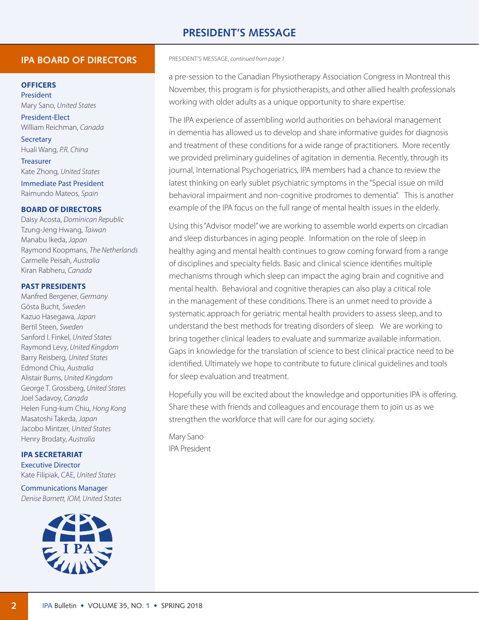## **PRESIDENT'S MESSAGE**

## **IPA BOARD OF DIRECTORS**

#### **OFFICERS**

President Mary Sano, *United States*

President-Elect William Reichman, *Canada* **Secretary** 

Huali Wang, *P.R. China*

Treasurer Kate Zhong, *United States*

Immediate Past President Raimundo Mateos, *Spain*

#### **BOARD OF DIRECTORS**

Daisy Acosta, *Dominican Republic* Tzung-Jeng Hwang, *Taiwan* Manabu Ikeda, *Japan* Raymond Koopmans, *The Netherlands* Carmelle Peisah, *Australia* Kiran Rabheru, *Canada*

#### **PAST PRESIDENTS**

Manfred Bergener, *Germany* Gösta Bucht, *Sweden* Kazuo Hasegawa, *Japan* Bertil Steen, *Sweden* Sanford I. Finkel, *United States* Raymond Levy, *United Kingdom* Barry Reisberg, *United States* Edmond Chiu, *Australia* Alistair Burns, *United Kingdom* George T. Grossberg, *United States* Joel Sadavoy, *Canada* Helen Fung-kum Chiu, *Hong Kong* Masatoshi Takeda, *Japan* Jacobo Mintzer, *United States* Henry Brodaty, *Australia*

**IPA SECRETARIAT** Executive Director Kate Filipiak, CAE, *United States*

Communications Manager *Denise Barnett, IOM, United States*



#### PRESIDENT'S MESSAGE, *[continued from page](#page-0-0) 1*

a pre-session to the Canadian Physiotherapy Association Congress in Montreal this November, this program is for physiotherapists, and other allied health professionals working with older adults as a unique opportunity to share expertise.

The IPA experience of assembling world authorities on behavioral management in dementia has allowed us to develop and share informative guides for diagnosis and treatment of these conditions for a wide range of practitioners. More recently we provided preliminary guidelines of agitation in dementia. Recently, through its journal, International Psychogeriatrics, IPA members had a chance to review the latest thinking on early sublet psychiatric symptoms in the "Special issue on mild behavioral impairment and non-cognitive prodromes to dementia". This is another example of the IPA focus on the full range of mental health issues in the elderly.

Using this "Advisor model" we are working to assemble world experts on circadian and sleep disturbances in aging people. Information on the role of sleep in healthy aging and mental health continues to grow coming forward from a range of disciplines and specialty fields. Basic and clinical science identifies multiple mechanisms through which sleep can impact the aging brain and cognitive and mental health. Behavioral and cognitive therapies can also play a critical role in the management of these conditions. There is an unmet need to provide a systematic approach for geriatric mental health providers to assess sleep, and to understand the best methods for treating disorders of sleep. We are working to bring together clinical leaders to evaluate and summarize available information. Gaps in knowledge for the translation of science to best clinical practice need to be identified. Ultimately we hope to contribute to future clinical guidelines and tools for sleep evaluation and treatment.

Hopefully you will be excited about the knowledge and opportunities IPA is offering. Share these with friends and colleagues and encourage them to join us as we strengthen the workforce that will care for our aging society.

Mary Sano IPA President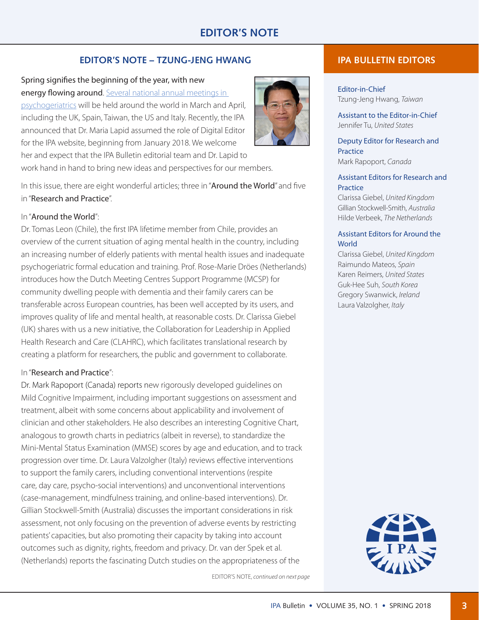## **EDITOR'S NOTE – TZUNG-JENG HWANG**

# Spring signifies the beginning of the year, with new

energy flowing around. [Several national annual meetings in](http://www.ipa-online.org/events/events-calendar)  [psychogeriatrics](http://www.ipa-online.org/events/events-calendar) will be held around the world in March and April, including the UK, Spain, Taiwan, the US and Italy. Recently, the IPA announced that Dr. Maria Lapid assumed the role of Digital Editor for the IPA website, beginning from January 2018. We welcome



work hand in hand to bring new ideas and perspectives for our members.

In this issue, there are eight wonderful articles; three in "Around the World" and five in "Research and Practice".

## In "Around the World":

Dr. Tomas Leon (Chile), the first IPA lifetime member from Chile, provides an overview of the current situation of aging mental health in the country, including an increasing number of elderly patients with mental health issues and inadequate psychogeriatric formal education and training. Prof. Rose-Marie Dröes (Netherlands) introduces how the Dutch Meeting Centres Support Programme (MCSP) for community dwelling people with dementia and their family carers can be transferable across European countries, has been well accepted by its users, and improves quality of life and mental health, at reasonable costs. Dr. Clarissa Giebel (UK) shares with us a new initiative, the Collaboration for Leadership in Applied Health Research and Care (CLAHRC), which facilitates translational research by creating a platform for researchers, the public and government to collaborate.

## In "Research and Practice":

Dr. Mark Rapoport (Canada) reports new rigorously developed guidelines on Mild Cognitive Impairment, including important suggestions on assessment and treatment, albeit with some concerns about applicability and involvement of clinician and other stakeholders. He also describes an interesting Cognitive Chart, analogous to growth charts in pediatrics (albeit in reverse), to standardize the Mini-Mental Status Examination (MMSE) scores by age and education, and to track progression over time. Dr. Laura Valzolgher (Italy) reviews effective interventions to support the family carers, including conventional interventions (respite care, day care, psycho-social interventions) and unconventional interventions (case-management, mindfulness training, and online-based interventions). Dr. Gillian Stockwell-Smith (Australia) discusses the important considerations in risk assessment, not only focusing on the prevention of adverse events by restricting patients' capacities, but also promoting their capacity by taking into account outcomes such as dignity, rights, freedom and privacy. Dr. van der Spek et al. (Netherlands) reports the fascinating Dutch studies on the appropriateness of the

EDITOR'S NOTE, *continued on next page*

## **IPA BULLETIN EDITORS**

Editor-in-Chief Tzung-Jeng Hwang, *Taiwan*

Assistant to the Editor-in-Chief Jennifer Tu, *United States*

Deputy Editor for Research and **Practice** Mark Rapoport, *Canada*

#### Assistant Editors for Research and **Practice**

Clarissa Giebel, *United Kingdom* Gillian Stockwell-Smith, *Australia* Hilde Verbeek, *The Netherlands*

## Assistant Editors for Around the **World**

Clarissa Giebel, *United Kingdom* Raimundo Mateos, *Spain* Karen Reimers, *United States* Guk-Hee Suh, *South Korea* Gregory Swanwick, *Ireland* Laura Valzolgher, *Italy*

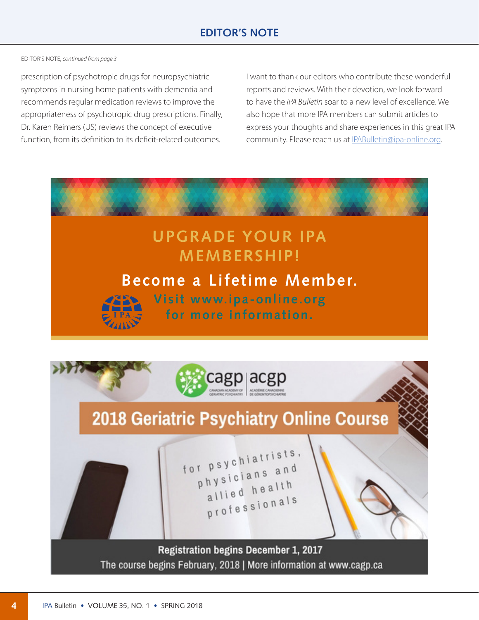EDITOR'S NOTE, *continued from page 3*

prescription of psychotropic drugs for neuropsychiatric symptoms in nursing home patients with dementia and recommends regular medication reviews to improve the appropriateness of psychotropic drug prescriptions. Finally, Dr. Karen Reimers (US) reviews the concept of executive function, from its definition to its deficit-related outcomes.

I want to thank our editors who contribute these wonderful reports and reviews. With their devotion, we look forward to have the *IPA Bulletin* soar to a new level of excellence. We also hope that more IPA members can submit articles to express your thoughts and share experiences in this great IPA community. Please reach us at IPABulletin[@ipa-online.org.](ipa-online.org)

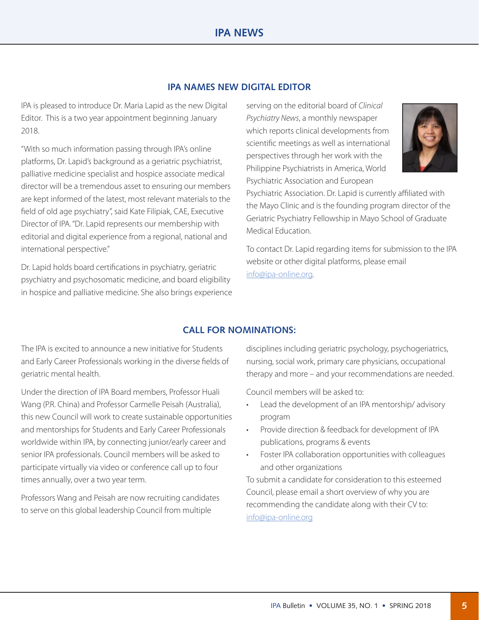## **IPA NAMES NEW DIGITAL EDITOR**

IPA is pleased to introduce Dr. Maria Lapid as the new Digital Editor. This is a two year appointment beginning January 2018.

"With so much information passing through IPA's online platforms, Dr. Lapid's background as a geriatric psychiatrist, palliative medicine specialist and hospice associate medical director will be a tremendous asset to ensuring our members are kept informed of the latest, most relevant materials to the field of old age psychiatry", said Kate Filipiak, CAE, Executive Director of IPA. "Dr. Lapid represents our membership with editorial and digital experience from a regional, national and international perspective."

Dr. Lapid holds board certifications in psychiatry, geriatric psychiatry and psychosomatic medicine, and board eligibility in hospice and palliative medicine. She also brings experience serving on the editorial board of *Clinical Psychiatry News*, a monthly newspaper which reports clinical developments from scientific meetings as well as international perspectives through her work with the Philippine Psychiatrists in America, World Psychiatric Association and European



Psychiatric Association. Dr. Lapid is currently affiliated with the Mayo Clinic and is the founding program director of the Geriatric Psychiatry Fellowship in Mayo School of Graduate Medical Education.

To contact Dr. Lapid regarding items for submission to the IPA website or other digital platforms, please email info[@ipa-online.org.](ipa-online.org)

## **CALL FOR NOMINATIONS:**

The IPA is excited to announce a new initiative for Students and Early Career Professionals working in the diverse fields of geriatric mental health.

Under the direction of IPA Board members, Professor Huali Wang (P.R. China) and Professor Carmelle Peisah (Australia), this new Council will work to create sustainable opportunities and mentorships for Students and Early Career Professionals worldwide within IPA, by connecting junior/early career and senior IPA professionals. Council members will be asked to participate virtually via video or conference call up to four times annually, over a two year term.

Professors Wang and Peisah are now recruiting candidates to serve on this global leadership Council from multiple

disciplines including geriatric psychology, psychogeriatrics, nursing, social work, primary care physicians, occupational therapy and more – and your recommendations are needed.

Council members will be asked to:

- Lead the development of an IPA mentorship/ advisory program
- Provide direction & feedback for development of IPA publications, programs & events
- Foster IPA collaboration opportunities with colleagues and other organizations

To submit a candidate for consideration to this esteemed Council, please email a short overview of why you are recommending the candidate along with their CV to: info[@ipa-online.org](ipa-online.org)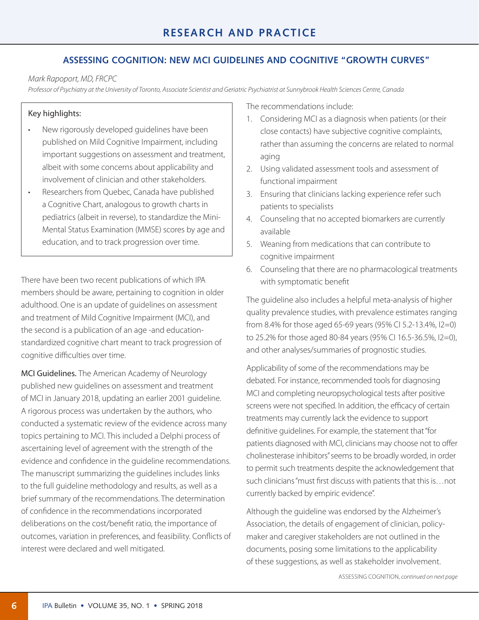## **ASSESSING COGNITION: NEW MCI GUIDELINES AND COGNITIVE "GROWTH CURVES"**

#### *Mark Rapoport, MD, FRCPC*

*Professor of Psychiatry at the University of Toronto, Associate Scientist and Geriatric Psychiatrist at Sunnybrook Health Sciences Centre, Canada*

## Key highlights:

- New rigorously developed quidelines have been published on Mild Cognitive Impairment, including important suggestions on assessment and treatment, albeit with some concerns about applicability and involvement of clinician and other stakeholders.
- • Researchers from Quebec, Canada have published a Cognitive Chart, analogous to growth charts in pediatrics (albeit in reverse), to standardize the Mini-Mental Status Examination (MMSE) scores by age and education, and to track progression over time.

There have been two recent publications of which IPA members should be aware, pertaining to cognition in older adulthood. One is an update of guidelines on assessment and treatment of Mild Cognitive Impairment (MCI), and the second is a publication of an age -and educationstandardized cognitive chart meant to track progression of cognitive difficulties over time.

MCI Guidelines. The American Academy of Neurology published new guidelines on assessment and treatment of MCI in January 2018, updating an earlier 2001 guideline. A rigorous process was undertaken by the authors, who conducted a systematic review of the evidence across many topics pertaining to MCI. This included a Delphi process of ascertaining level of agreement with the strength of the evidence and confidence in the guideline recommendations. The manuscript summarizing the guidelines includes links to the full guideline methodology and results, as well as a brief summary of the recommendations. The determination of confidence in the recommendations incorporated deliberations on the cost/benefit ratio, the importance of outcomes, variation in preferences, and feasibility. Conflicts of interest were declared and well mitigated.

The recommendations include:

- 1. Considering MCI as a diagnosis when patients (or their close contacts) have subjective cognitive complaints, rather than assuming the concerns are related to normal aging
- 2. Using validated assessment tools and assessment of functional impairment
- 3. Ensuring that clinicians lacking experience refer such patients to specialists
- 4. Counseling that no accepted biomarkers are currently available
- 5. Weaning from medications that can contribute to cognitive impairment
- 6. Counseling that there are no pharmacological treatments with symptomatic benefit

The guideline also includes a helpful meta-analysis of higher quality prevalence studies, with prevalence estimates ranging from 8.4% for those aged 65-69 years (95% CI 5.2-13.4%, I2=0) to 25.2% for those aged 80-84 years (95% CI 16.5-36.5%, I2=0), and other analyses/summaries of prognostic studies.

Applicability of some of the recommendations may be debated. For instance, recommended tools for diagnosing MCI and completing neuropsychological tests after positive screens were not specified. In addition, the efficacy of certain treatments may currently lack the evidence to support definitive guidelines. For example, the statement that "for patients diagnosed with MCI, clinicians may choose not to offer cholinesterase inhibitors" seems to be broadly worded, in order to permit such treatments despite the acknowledgement that such clinicians "must first discuss with patients that this is…not currently backed by empiric evidence".

Although the guideline was endorsed by the Alzheimer's Association, the details of engagement of clinician, policymaker and caregiver stakeholders are not outlined in the documents, posing some limitations to the applicability of these suggestions, as well as stakeholder involvement.

ASSESSING COGNITION, *[continued](#page-0-0) on next page*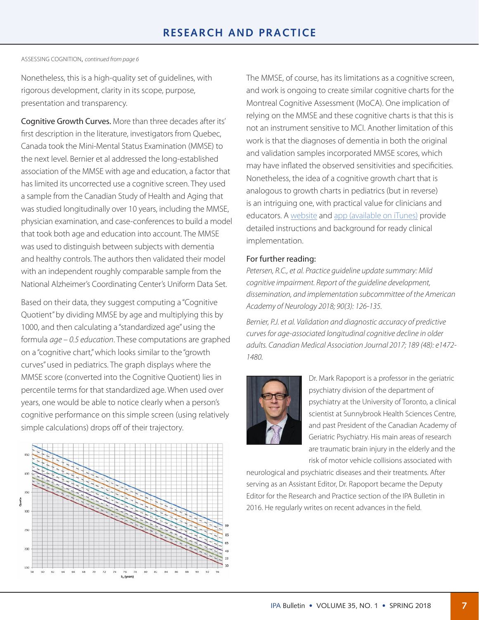ASSESSING COGNITION, *[continued from page](#page-0-0) 6*

Nonetheless, this is a high-quality set of guidelines, with rigorous development, clarity in its scope, purpose, presentation and transparency.

Cognitive Growth Curves. More than three decades after its' first description in the literature, investigators from Quebec, Canada took the Mini-Mental Status Examination (MMSE) to the next level. Bernier et al addressed the long-established association of the MMSE with age and education, a factor that has limited its uncorrected use a cognitive screen. They used a sample from the Canadian Study of Health and Aging that was studied longitudinally over 10 years, including the MMSE, physician examination, and case-conferences to build a model that took both age and education into account. The MMSE was used to distinguish between subjects with dementia and healthy controls. The authors then validated their model with an independent roughly comparable sample from the National Alzheimer's Coordinating Center's Uniform Data Set.

Based on their data, they suggest computing a "Cognitive Quotient" by dividing MMSE by age and multiplying this by 1000, and then calculating a "standardized age" using the formula *age – 0.5 education*. These computations are graphed on a "cognitive chart," which looks similar to the "growth curves" used in pediatrics. The graph displays where the MMSE score (converted into the Cognitive Quotient) lies in percentile terms for that standardized age. When used over years, one would be able to notice clearly when a person's cognitive performance on this simple screen (using relatively simple calculations) drops off of their trajectory.



The MMSE, of course, has its limitations as a cognitive screen, and work is ongoing to create similar cognitive charts for the Montreal Cognitive Assessment (MoCA). One implication of relying on the MMSE and these cognitive charts is that this is not an instrument sensitive to MCI. Another limitation of this work is that the diagnoses of dementia in both the original and validation samples incorporated MMSE scores, which may have inflated the observed sensitivities and specificities. Nonetheless, the idea of a cognitive growth chart that is analogous to growth charts in pediatrics (but in reverse) is an intriguing one, with practical value for clinicians and educators. A [website](http://quoco.org/index_en.html) and [app \(available on iTunes\)](https://itunes.apple.com/ca/app/quoco/id1196080178?mt=8) provide detailed instructions and background for ready clinical implementation.

## For further reading:

*Petersen, R.C., et al. Practice guideline update summary: Mild cognitive impairment. Report of the guideline development, dissemination, and implementation subcommittee of the American Academy of Neurology 2018; 90(3): 126-135.*

*Bernier, P.J. et al. Validation and diagnostic accuracy of predictive curves for age-associated longitudinal cognitive decline in older adults. Canadian Medical Association Journal 2017; 189 (48): e1472- 1480.*



Dr. Mark Rapoport is a professor in the geriatric psychiatry division of the department of psychiatry at the University of Toronto, a clinical scientist at Sunnybrook Health Sciences Centre, and past President of the Canadian Academy of Geriatric Psychiatry. His main areas of research are traumatic brain injury in the elderly and the risk of motor vehicle collisions associated with

neurological and psychiatric diseases and their treatments. After serving as an Assistant Editor, Dr. Rapoport became the Deputy Editor for the Research and Practice section of the IPA Bulletin in 2016. He regularly writes on recent advances in the field.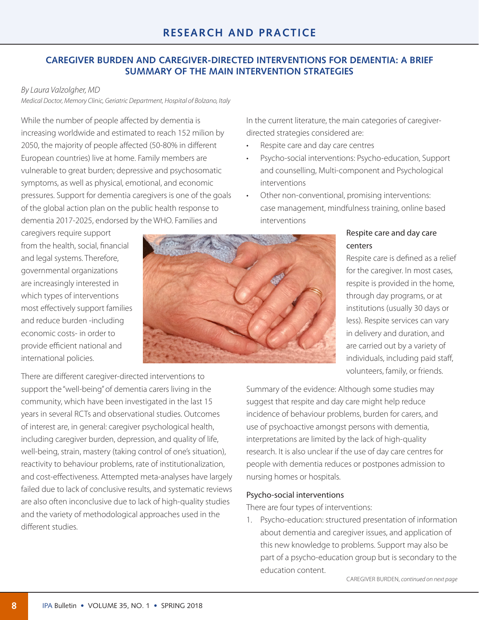## **CAREGIVER BURDEN AND CAREGIVER-DIRECTED INTERVENTIONS FOR DEMENTIA: A BRIEF SUMMARY OF THE MAIN INTERVENTION STRATEGIES**

## *By Laura Valzolgher, MD*

*Medical Doctor, Memory Clinic, Geriatric Department, Hospital of Bolzano, Italy* 

While the number of people affected by dementia is increasing worldwide and estimated to reach 152 milion by 2050, the majority of people affected (50-80% in different European countries) live at home. Family members are vulnerable to great burden; depressive and psychosomatic symptoms, as well as physical, emotional, and economic pressures. Support for dementia caregivers is one of the goals of the global action plan on the public health response to dementia 2017-2025, endorsed by the WHO. Families and

caregivers require support from the health, social, financial and legal systems. Therefore, governmental organizations are increasingly interested in which types of interventions most effectively support families and reduce burden -including economic costs- in order to provide efficient national and international policies.



In the current literature, the main categories of caregiverdirected strategies considered are:

- Respite care and day care centres
- Psycho-social interventions: Psycho-education, Support and counselling, Multi-component and Psychological interventions
- • Other non-conventional, promising interventions: case management, mindfulness training, online based interventions

## Respite care and day care centers

Respite care is defined as a relief for the caregiver. In most cases, respite is provided in the home, through day programs, or at institutions (usually 30 days or less). Respite services can vary in delivery and duration, and are carried out by a variety of individuals, including paid staff, volunteers, family, or friends.

There are different caregiver-directed interventions to support the "well-being" of dementia carers living in the community, which have been investigated in the last 15 years in several RCTs and observational studies. Outcomes of interest are, in general: caregiver psychological health, including caregiver burden, depression, and quality of life, well-being, strain, mastery (taking control of one's situation), reactivity to behaviour problems, rate of institutionalization, and cost-effectiveness. Attempted meta-analyses have largely failed due to lack of conclusive results, and systematic reviews are also often inconclusive due to lack of high-quality studies and the variety of methodological approaches used in the different studies.

Summary of the evidence: Although some studies may suggest that respite and day care might help reduce incidence of behaviour problems, burden for carers, and use of psychoactive amongst persons with dementia, interpretations are limited by the lack of high-quality research. It is also unclear if the use of day care centres for people with dementia reduces or postpones admission to nursing homes or hospitals.

## Psycho-social interventions

There are four types of interventions:

1. Psycho-education: structured presentation of information about dementia and caregiver issues, and application of this new knowledge to problems. Support may also be part of a psycho-education group but is secondary to the education content.

CAREGIVER BURDEN, *[continued](#page-0-0) on next page*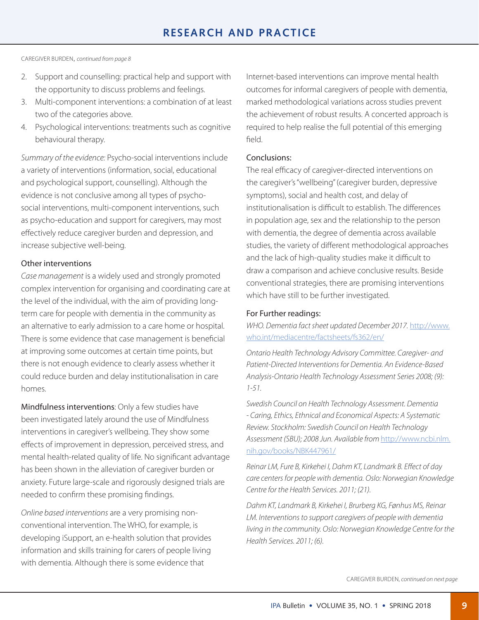CAREGIVER BURDEN, *[continued from page 8](#page-0-0)*

- 2. Support and counselling: practical help and support with the opportunity to discuss problems and feelings.
- 3. Multi-component interventions: a combination of at least two of the categories above.
- 4. Psychological interventions: treatments such as cognitive behavioural therapy.

*Summary of the evidence:* Psycho-social interventions include a variety of interventions (information, social, educational and psychological support, counselling). Although the evidence is not conclusive among all types of psychosocial interventions, multi-component interventions, such as psycho-education and support for caregivers, may most effectively reduce caregiver burden and depression, and increase subjective well-being.

## Other interventions

*Case management* is a widely used and strongly promoted complex intervention for organising and coordinating care at the level of the individual, with the aim of providing longterm care for people with dementia in the community as an alternative to early admission to a care home or hospital. There is some evidence that case management is beneficial at improving some outcomes at certain time points, but there is not enough evidence to clearly assess whether it could reduce burden and delay institutionalisation in care homes.

Mindfulness interventions: Only a few studies have been investigated lately around the use of Mindfulness interventions in caregiver's wellbeing. They show some effects of improvement in depression, perceived stress, and mental health-related quality of life. No significant advantage has been shown in the alleviation of caregiver burden or anxiety. Future large-scale and rigorously designed trials are needed to confirm these promising findings.

*Online based interventions* are a very promising nonconventional intervention. The WHO, for example, is developing iSupport, an e-health solution that provides information and skills training for carers of people living with dementia. Although there is some evidence that

Internet-based interventions can improve mental health outcomes for informal caregivers of people with dementia, marked methodological variations across studies prevent the achievement of robust results. A concerted approach is required to help realise the full potential of this emerging field.

## Conclusions:

The real efficacy of caregiver-directed interventions on the caregiver's "wellbeing" (caregiver burden, depressive symptoms), social and health cost, and delay of institutionalisation is difficult to establish. The differences in population age, sex and the relationship to the person with dementia, the degree of dementia across available studies, the variety of different methodological approaches and the lack of high-quality studies make it difficult to draw a comparison and achieve conclusive results. Beside conventional strategies, there are promising interventions which have still to be further investigated.

## For Further readings:

*WHO. Dementia fact sheet updated December 2017.* [http://www.](http://www.who.int/mediacentre/factsheets/fs362/en/) [who.int/mediacentre/factsheets/fs362/en/](http://www.who.int/mediacentre/factsheets/fs362/en/)

*Ontario Health Technology Advisory Committee. Caregiver- and Patient-Directed Interventions for Dementia. An Evidence-Based Analysis-Ontario Health Technology Assessment Series 2008; (9): 1-51.*

*Swedish Council on Health Technology Assessment. Dementia - Caring, Ethics, Ethnical and Economical Aspects: A Systematic Review. Stockholm: Swedish Council on Health Technology Assessment (SBU); 2008 Jun. Available from* [http://www.ncbi.nlm.](https://www.ncbi.nlm.nih.gov/books/NBK447961/) [nih.gov/books/NBK447961/](https://www.ncbi.nlm.nih.gov/books/NBK447961/)

*Reinar LM, Fure B, Kirkehei I, Dahm KT, Landmark B. Effect of day care centers for people with dementia. Oslo: Norwegian Knowledge Centre for the Health Services. 2011; (21).* 

*Dahm KT, Landmark B, Kirkehei I, Brurberg KG, Fønhus MS, Reinar LM. Interventions to support caregivers of people with dementia living in the community. Oslo: Norwegian Knowledge Centre for the Health Services. 2011; (6).* 

CAREGIVER BURDEN, *continued on next page*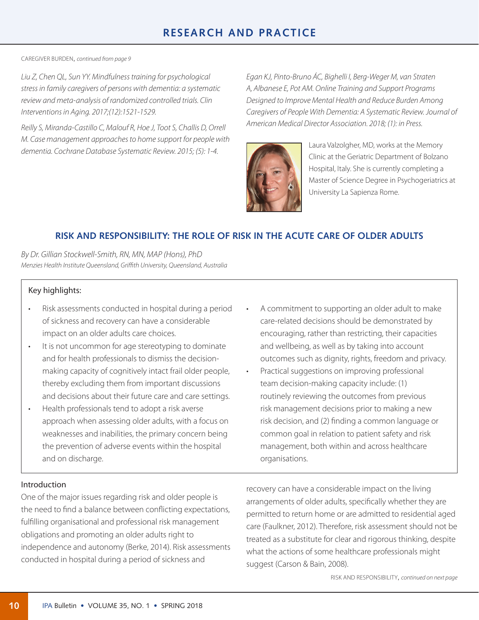CAREGIVER BURDEN, *[continued from page 9](#page-0-0)*

*Liu Z, Chen QL, Sun YY. Mindfulness training for psychological stress in family caregivers of persons with dementia: a systematic review and meta-analysis of randomized controlled trials. Clin Interventions in Aging. 2017;(12):1521-1529.*

*Reilly S, Miranda-Castillo C, Malouf R, Hoe J, Toot S, Challis D, Orrell M. Case management approaches to home support for people with dementia. Cochrane Database Systematic Review. 2015; (5): 1-4.*

*Egan KJ, Pinto-Bruno ÁC, Bighelli I, Berg-Weger M, van Straten A, Albanese E, Pot AM. Online Training and Support Programs Designed to Improve Mental Health and Reduce Burden Among Caregivers of People With Dementia: A Systematic Review. Journal of American Medical Director Association. 2018; (1): in Press.*



Laura Valzolgher, MD, works at the Memory Clinic at the Geriatric Department of Bolzano Hospital, Italy. She is currently completing a Master of Science Degree in Psychogeriatrics at University La Sapienza Rome.

## **RISK AND RESPONSIBILITY: THE ROLE OF RISK IN THE ACUTE CARE OF OLDER ADULTS**

*By Dr. Gillian Stockwell-Smith, RN, MN, MAP (Hons), PhD Menzies Health Institute Queensland, Griffith University, Queensland, Australia*

## Key highlights:

- Risk assessments conducted in hospital during a period of sickness and recovery can have a considerable impact on an older adults care choices.
- • It is not uncommon for age stereotyping to dominate and for health professionals to dismiss the decisionmaking capacity of cognitively intact frail older people, thereby excluding them from important discussions and decisions about their future care and care settings.
- • Health professionals tend to adopt a risk averse approach when assessing older adults, with a focus on weaknesses and inabilities, the primary concern being the prevention of adverse events within the hospital and on discharge.
- A commitment to supporting an older adult to make care-related decisions should be demonstrated by encouraging, rather than restricting, their capacities and wellbeing, as well as by taking into account outcomes such as dignity, rights, freedom and privacy.
- Practical suggestions on improving professional team decision-making capacity include: (1) routinely reviewing the outcomes from previous risk management decisions prior to making a new risk decision, and (2) finding a common language or common goal in relation to patient safety and risk management, both within and across healthcare organisations.

#### Introduction

One of the major issues regarding risk and older people is the need to find a balance between conflicting expectations, fulfilling organisational and professional risk management obligations and promoting an older adults right to independence and autonomy (Berke, 2014). Risk assessments conducted in hospital during a period of sickness and

recovery can have a considerable impact on the living arrangements of older adults, specifically whether they are permitted to return home or are admitted to residential aged care (Faulkner, 2012). Therefore, risk assessment should not be treated as a substitute for clear and rigorous thinking, despite what the actions of some healthcare professionals might suggest (Carson & Bain, 2008).

RISK AND RESPONSIBILITY, *[continued on next page](#page-0-0)*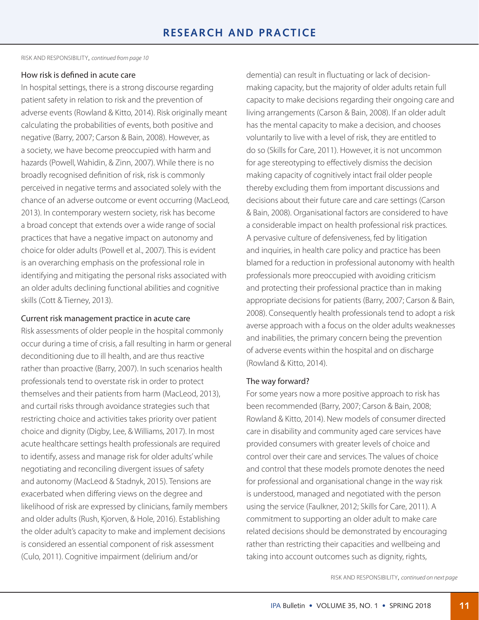RISK AND RESPONSIBILITY, *[continued from page](#page-0-0) 10*

## How risk is defined in acute care

In hospital settings, there is a strong discourse regarding patient safety in relation to risk and the prevention of adverse events (Rowland & Kitto, 2014). Risk originally meant calculating the probabilities of events, both positive and negative (Barry, 2007; Carson & Bain, 2008). However, as a society, we have become preoccupied with harm and hazards (Powell, Wahidin, & Zinn, 2007). While there is no broadly recognised definition of risk, risk is commonly perceived in negative terms and associated solely with the chance of an adverse outcome or event occurring (MacLeod, 2013). In contemporary western society, risk has become a broad concept that extends over a wide range of social practices that have a negative impact on autonomy and choice for older adults (Powell et al., 2007). This is evident is an overarching emphasis on the professional role in identifying and mitigating the personal risks associated with an older adults declining functional abilities and cognitive skills (Cott & Tierney, 2013).

## Current risk management practice in acute care

Risk assessments of older people in the hospital commonly occur during a time of crisis, a fall resulting in harm or general deconditioning due to ill health, and are thus reactive rather than proactive (Barry, 2007). In such scenarios health professionals tend to overstate risk in order to protect themselves and their patients from harm (MacLeod, 2013), and curtail risks through avoidance strategies such that restricting choice and activities takes priority over patient choice and dignity (Digby, Lee, & Williams, 2017). In most acute healthcare settings health professionals are required to identify, assess and manage risk for older adults' while negotiating and reconciling divergent issues of safety and autonomy (MacLeod & Stadnyk, 2015). Tensions are exacerbated when differing views on the degree and likelihood of risk are expressed by clinicians, family members and older adults (Rush, Kjorven, & Hole, 2016). Establishing the older adult's capacity to make and implement decisions is considered an essential component of risk assessment (Culo, 2011). Cognitive impairment (delirium and/or

dementia) can result in fluctuating or lack of decisionmaking capacity, but the majority of older adults retain full capacity to make decisions regarding their ongoing care and living arrangements (Carson & Bain, 2008). If an older adult has the mental capacity to make a decision, and chooses voluntarily to live with a level of risk, they are entitled to do so (Skills for Care, 2011). However, it is not uncommon for age stereotyping to effectively dismiss the decision making capacity of cognitively intact frail older people thereby excluding them from important discussions and decisions about their future care and care settings (Carson & Bain, 2008). Organisational factors are considered to have a considerable impact on health professional risk practices. A pervasive culture of defensiveness, fed by litigation and inquiries, in health care policy and practice has been blamed for a reduction in professional autonomy with health professionals more preoccupied with avoiding criticism and protecting their professional practice than in making appropriate decisions for patients (Barry, 2007; Carson & Bain, 2008). Consequently health professionals tend to adopt a risk averse approach with a focus on the older adults weaknesses and inabilities, the primary concern being the prevention of adverse events within the hospital and on discharge (Rowland & Kitto, 2014).

## The way forward?

For some years now a more positive approach to risk has been recommended (Barry, 2007; Carson & Bain, 2008; Rowland & Kitto, 2014). New models of consumer directed care in disability and community aged care services have provided consumers with greater levels of choice and control over their care and services. The values of choice and control that these models promote denotes the need for professional and organisational change in the way risk is understood, managed and negotiated with the person using the service (Faulkner, 2012; Skills for Care, 2011). A commitment to supporting an older adult to make care related decisions should be demonstrated by encouraging rather than restricting their capacities and wellbeing and taking into account outcomes such as dignity, rights,

RISK AND RESPONSIBILITY, *[continued on next page](#page-0-0)*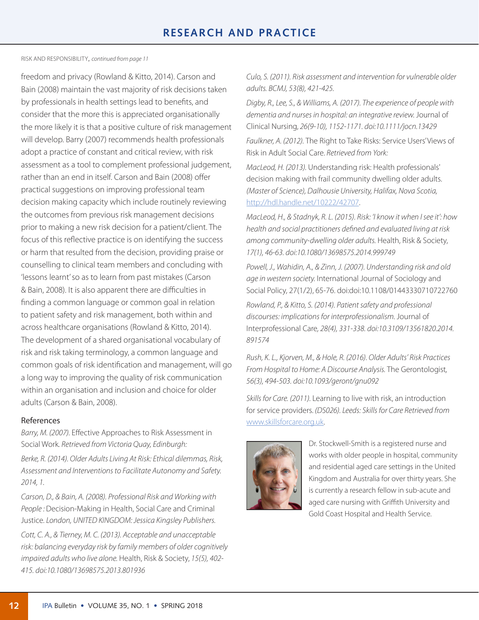RISK AND RESPONSIBILITY, *[continued from page](#page-0-0) 11*

freedom and privacy (Rowland & Kitto, 2014). Carson and Bain (2008) maintain the vast majority of risk decisions taken by professionals in health settings lead to benefits, and consider that the more this is appreciated organisationally the more likely it is that a positive culture of risk management will develop. Barry (2007) recommends health professionals adopt a practice of constant and critical review, with risk assessment as a tool to complement professional judgement, rather than an end in itself. Carson and Bain (2008) offer practical suggestions on improving professional team decision making capacity which include routinely reviewing the outcomes from previous risk management decisions prior to making a new risk decision for a patient/client. The focus of this reflective practice is on identifying the success or harm that resulted from the decision, providing praise or counselling to clinical team members and concluding with 'lessons learnt' so as to learn from past mistakes (Carson & Bain, 2008). It is also apparent there are difficulties in finding a common language or common goal in relation to patient safety and risk management, both within and across healthcare organisations (Rowland & Kitto, 2014). The development of a shared organisational vocabulary of risk and risk taking terminology, a common language and common goals of risk identification and management, will go a long way to improving the quality of risk communication within an organisation and inclusion and choice for older adults (Carson & Bain, 2008).

## References

*Barry, M. (2007).* Effective Approaches to Risk Assessment in Social Work*. Retrieved from Victoria Quay, Edinburgh:* 

*Berke, R. (2014). Older Adults Living At Risk: Ethical dilemmas, Risk, Assessment and Interventions to Facilitate Autonomy and Safety. 2014, 1.* 

*Carson, D., & Bain, A. (2008). Professional Risk and Working with People :* Decision-Making in Health, Social Care and Criminal Justice*. London, UNITED KINGDOM: Jessica Kingsley Publishers.*

*Cott, C. A., & Tierney, M. C. (2013). Acceptable and unacceptable risk: balancing everyday risk by family members of older cognitively impaired adults who live alone.* Health, Risk & Society, *15(5), 402- 415. doi:10.1080/13698575.2013.801936*

*Culo, S. (2011). Risk assessment and intervention for vulnerable older adults. BCMJ, 53(8), 421-425.* 

*Digby, R., Lee, S., & Williams, A. (2017). The experience of people with dementia and nurses in hospital: an integrative review.* Journal of Clinical Nursing, *26(9-10), 1152-1171. doi:<10.1111/jocn>.13429*

*Faulkner, A. (2012).* The Right to Take Risks: Service Users' Views of Risk in Adult Social Care. *Retrieved from York:* 

*MacLeod, H. (2013).* Understanding risk: Health professionals' decision making with frail community dwelling older adults. *(Master of Science), Dalhousie University, Halifax, Nova Scotia,* <http://hdl.handle.net/10222/42707>.

*MacLeod, H., & Stadnyk, R. L. (2015). Risk: 'I know it when I see it': how health and social practitioners defined and evaluated living at risk among community-dwelling older adults.* Health, Risk & Society, *17(1), 46-63. doi:10.1080/13698575.2014.999749*

*Powell, J., Wahidin, A., & Zinn, J. (2007). Understanding risk and old age in western society.* International Journal of Sociology and Social Policy*,* 27(1/2), 65-76. doi:doi:10.1108/01443330710722760

*Rowland, P., & Kitto, S. (2014). Patient safety and professional discourses: implications for interprofessionalism.* Journal of Interprofessional Care*, 28(4), 331-338. doi:10.3109/13561820.2014. 891574*

*Rush, K. L., Kjorven, M., & Hole, R. (2016). Older Adults' Risk Practices From Hospital to Home: A Discourse Analysis.* The Gerontologist*, 56(3), 494-503. doi:[10.1093/geront/gnu0](10.1093/geront/gnu)92*

*Skills for Care. (2011).* Learning to live with risk, an introduction for service providers. *(DS026). Leeds: Skills for Care Retrieved from* [www.skillsforcare.org.uk.](www.skillsforcare.org.uk)



Dr. Stockwell-Smith is a registered nurse and works with older people in hospital, community and residential aged care settings in the United Kingdom and Australia for over thirty years. She is currently a research fellow in sub-acute and aged care nursing with Griffith University and Gold Coast Hospital and Health Service.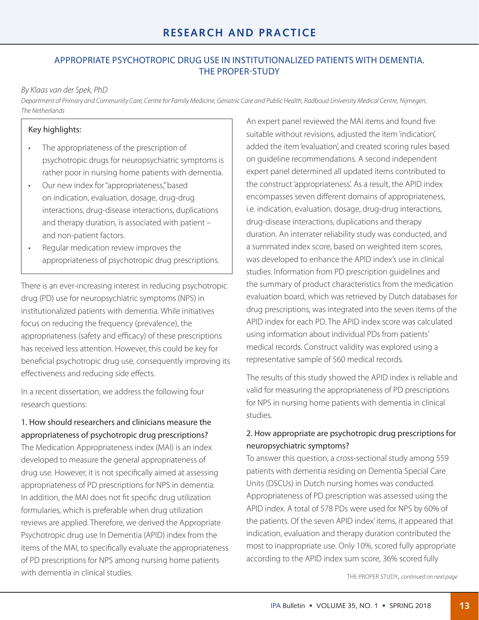# **RESEARCH AND PRACTICE**

## APPROPRIATE PSYCHOTROPIC DRUG USE IN INSTITUTIONALIZED PATIENTS WITH DEMENTIA. THE PROPER-STUDY

## *By Klaas van der Spek, PhD*

*Department of Primary and Community Care, Centre for Family Medicine, Geriatric Care and Public Health, Radboud University Medical Centre, Nijmegen, The Netherlands*

## Key highlights:

- The appropriateness of the prescription of psychotropic drugs for neuropsychiatric symptoms is rather poor in nursing home patients with dementia.
- • Our new index for "appropriateness," based on indication, evaluation, dosage, drug-drug interactions, drug-disease interactions, duplications and therapy duration, is associated with patient – and non-patient factors.
- Regular medication review improves the appropriateness of psychotropic drug prescriptions.

There is an ever-increasing interest in reducing psychotropic drug (PD) use for neuropsychiatric symptoms (NPS) in institutionalized patients with dementia. While initiatives focus on reducing the frequency (prevalence), the appropriateness (safety and efficacy) of these prescriptions has received less attention. However, this could be key for beneficial psychotropic drug use, consequently improving its effectiveness and reducing side effects.

In a recent dissertation, we address the following four research questions:

## 1. How should researchers and clinicians measure the appropriateness of psychotropic drug prescriptions?

The Medication Appropriateness index (MAI) is an index developed to measure the general appropriateness of drug use. However, it is not specifically aimed at assessing appropriateness of PD prescriptions for NPS in dementia. In addition, the MAI does not fit specific drug utilization formularies, which is preferable when drug utilization reviews are applied. Therefore, we derived the Appropriate Psychotropic drug use In Dementia (APID) index from the items of the MAI, to specifically evaluate the appropriateness of PD prescriptions for NPS among nursing home patients with dementia in clinical studies.

An expert panel reviewed the MAI items and found five suitable without revisions, adjusted the item 'indication', added the item 'evaluation', and created scoring rules based on guideline recommendations. A second independent expert panel determined all updated items contributed to the construct 'appropriateness'. As a result, the APID index encompasses seven different domains of appropriateness, i.e. indication, evaluation, dosage, drug-drug interactions, drug-disease interactions, duplications and therapy duration. An interrater reliability study was conducted, and a summated index score, based on weighted item scores, was developed to enhance the APID index's use in clinical studies. Information from PD prescription guidelines and the summary of product characteristics from the medication evaluation board, which was retrieved by Dutch databases for drug prescriptions, was integrated into the seven items of the APID index for each PD. The APID index score was calculated using information about individual PDs from patients' medical records. Construct validity was explored using a representative sample of 560 medical records.

The results of this study showed the APID index is reliable and valid for measuring the appropriateness of PD prescriptions for NPS in nursing home patients with dementia in clinical studies.

## 2. How appropriate are psychotropic drug prescriptions for neuropsychiatric symptoms?

To answer this question, a cross-sectional study among 559 patients with dementia residing on Dementia Special Care Units (DSCUs) in Dutch nursing homes was conducted. Appropriateness of PD prescription was assessed using the APID index. A total of 578 PDs were used for NPS by 60% of the patients. Of the seven APID index' items, it appeared that indication, evaluation and therapy duration contributed the most to inappropriate use. Only 10%, scored fully appropriate according to the APID index sum score, 36% scored fully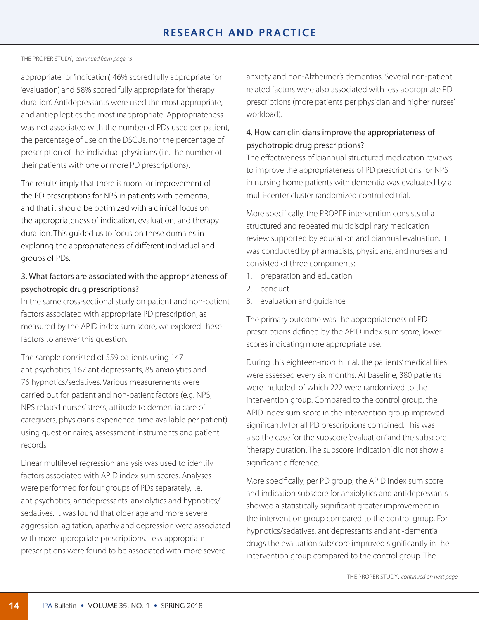#### THE PROPER STUDY, *[continued from page 1](#page-0-0)3*

appropriate for 'indication', 46% scored fully appropriate for 'evaluation', and 58% scored fully appropriate for 'therapy duration'. Antidepressants were used the most appropriate, and antiepileptics the most inappropriate. Appropriateness was not associated with the number of PDs used per patient, the percentage of use on the DSCUs, nor the percentage of prescription of the individual physicians (i.e. the number of their patients with one or more PD prescriptions).

The results imply that there is room for improvement of the PD prescriptions for NPS in patients with dementia, and that it should be optimized with a clinical focus on the appropriateness of indication, evaluation, and therapy duration. This guided us to focus on these domains in exploring the appropriateness of different individual and groups of PDs.

## 3. What factors are associated with the appropriateness of psychotropic drug prescriptions?

In the same cross-sectional study on patient and non-patient factors associated with appropriate PD prescription, as measured by the APID index sum score, we explored these factors to answer this question.

The sample consisted of 559 patients using 147 antipsychotics, 167 antidepressants, 85 anxiolytics and 76 hypnotics/sedatives. Various measurements were carried out for patient and non-patient factors (e.g. NPS, NPS related nurses' stress, attitude to dementia care of caregivers, physicians' experience, time available per patient) using questionnaires, assessment instruments and patient records.

Linear multilevel regression analysis was used to identify factors associated with APID index sum scores. Analyses were performed for four groups of PDs separately, i.e. antipsychotics, antidepressants, anxiolytics and hypnotics/ sedatives. It was found that older age and more severe aggression, agitation, apathy and depression were associated with more appropriate prescriptions. Less appropriate prescriptions were found to be associated with more severe

anxiety and non-Alzheimer's dementias. Several non-patient related factors were also associated with less appropriate PD prescriptions (more patients per physician and higher nurses' workload).

## 4. How can clinicians improve the appropriateness of psychotropic drug prescriptions?

The effectiveness of biannual structured medication reviews to improve the appropriateness of PD prescriptions for NPS in nursing home patients with dementia was evaluated by a multi-center cluster randomized controlled trial.

More specifically, the PROPER intervention consists of a structured and repeated multidisciplinary medication review supported by education and biannual evaluation. It was conducted by pharmacists, physicians, and nurses and consisted of three components:

- 1. preparation and education
- 2. conduct
- 3. evaluation and guidance

The primary outcome was the appropriateness of PD prescriptions defined by the APID index sum score, lower scores indicating more appropriate use.

During this eighteen-month trial, the patients' medical files were assessed every six months. At baseline, 380 patients were included, of which 222 were randomized to the intervention group. Compared to the control group, the APID index sum score in the intervention group improved significantly for all PD prescriptions combined. This was also the case for the subscore 'evaluation' and the subscore 'therapy duration'. The subscore 'indication' did not show a significant difference.

More specifically, per PD group, the APID index sum score and indication subscore for anxiolytics and antidepressants showed a statistically significant greater improvement in the intervention group compared to the control group. For hypnotics/sedatives, antidepressants and anti-dementia drugs the evaluation subscore improved significantly in the intervention group compared to the control group. The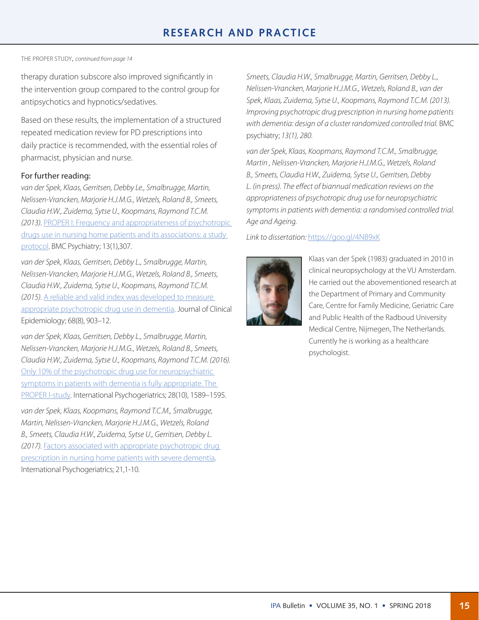#### THE PROPER STUDY, *[continued from page 1](#page-0-0)4*

therapy duration subscore also improved significantly in the intervention group compared to the control group for antipsychotics and hypnotics/sedatives.

Based on these results, the implementation of a structured repeated medication review for PD prescriptions into daily practice is recommended, with the essential roles of pharmacist, physician and nurse.

#### For further reading:

*van der Spek, Klaas, Gerritsen, Debby Le., Smalbrugge, Martin, Nelissen-Vrancken, Marjorie H.J.M.G., Wetzels, Roland B., Smeets, Claudia H.W., Zuidema, Sytse U., Koopmans, Raymond T.C.M. (2013).* [PROPER I: Frequency and appropriateness of psychotropic](https://www.ncbi.nlm.nih.gov/pubmed/24238392)  [drugs use in nursing home patients and its associations: a study](https://www.ncbi.nlm.nih.gov/pubmed/24238392)  [protoco](https://www.ncbi.nlm.nih.gov/pubmed/24238392)l. BMC Psychiatry; 13(1),307.

*van der Spek, Klaas, Gerritsen, Debby L., Smalbrugge, Martin, Nelissen-Vrancken, Marjorie H.J.M.G., Wetzels, Roland B., Smeets, Claudia H.W., Zuidema, Sytse U., Koopmans, Raymond T.C.M. (2015).* [A reliable and valid index was developed to measure](http://)  [appropriate psychotropic drug use in dementia.](http://) Journal of Clinical Epidemiology; 68(8), 903–12.

*van der Spek, Klaas, Gerritsen, Debby L., Smalbrugge, Martin, Nelissen-Vrancken, Marjorie H.J.M.G., Wetzels, Roland B., Smeets, Claudia H.W., Zuidema, Sytse U., Koopmans, Raymond T.C.M. (2016).*  [Only 10% of the psychotropic drug use for neuropsychiatric](https://www.ncbi.nlm.nih.gov/pubmed/25910910)  [symptoms in patients with dementia is fully appropriate. The](https://www.ncbi.nlm.nih.gov/pubmed/25910910)  [PROPER I-study](https://www.ncbi.nlm.nih.gov/pubmed/25910910)*.* International Psychogeriatrics; 28(10), 1589–1595*.*

*van der Spek, Klaas, Koopmans, Raymond T.C.M., Smalbrugge, Martin, Nelissen-Vrancken, Marjorie H.J.M.G., Wetzels, Roland B., Smeets, Claudia H.W., Zuidema, Sytse U., Gerritsen, Debby L. (2017).* [Factors associated with appropriate psychotropic drug](https://www.ncbi.nlm.nih.gov/pubmed/24180295)  [prescription in nursing home patients with severe dementia](https://www.ncbi.nlm.nih.gov/pubmed/24180295)*.*  International Psychogeriatrics; 21,1-10.

*Smeets, Claudia H.W., Smalbrugge, Martin, Gerritsen, Debby L., Nelissen-Vrancken, Marjorie H.J.M.G., Wetzels, Roland B., van der Spek, Klaas, Zuidema, Sytse U., Koopmans, Raymond T.C.M. (2013). Improving psychotropic drug prescription in nursing home patients*  with dementia: design of a cluster randomized controlled trial. BMC psychiatry; *13(1), 280.* 

*van der Spek, Klaas, Koopmans, Raymond T.C.M., Smalbrugge, Martin , Nelissen-Vrancken, Marjorie H.J.M.G., Wetzels, Roland B., Smeets, Claudia H.W., Zuidema, Sytse U., Gerritsen, Debby L. (in press). The effect of biannual medication reviews on the appropriateness of psychotropic drug use for neuropsychiatric symptoms in patients with dementia: a randomised controlled trial. Age and Ageing.*

## *Link to dissertation:* <https://goo.gl/4NB9xK>



Klaas van der Spek (1983) graduated in 2010 in clinical neuropsychology at the VU Amsterdam. He carried out the abovementioned research at the Department of Primary and Community Care, Centre for Family Medicine, Geriatric Care and Public Health of the Radboud University Medical Centre, Nijmegen, The Netherlands. Currently he is working as a healthcare psychologist.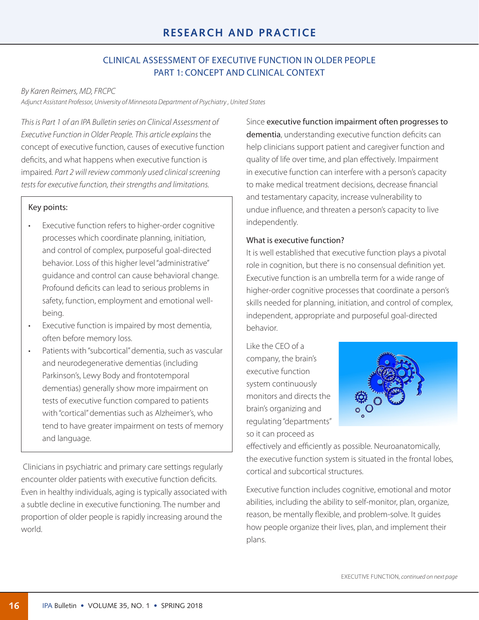## CLINICAL ASSESSMENT OF EXECUTIVE FUNCTION IN OLDER PEOPLE PART 1: CONCEPT AND CLINICAL CONTEXT

## *By Karen Reimers, MD, FRCPC*

*Adjunct Assistant Professor, University of Minnesota Department of Psychiatry , United States*

*This is Part 1 of an IPA Bulletin series on Clinical Assessment of Executive Function in Older People. This article explains* the concept of executive function, causes of executive function deficits, and what happens when executive function is impaired*. Part 2 will review commonly used clinical screening tests for executive function, their strengths and limitations.*

## Key points:

- Executive function refers to higher-order cognitive processes which coordinate planning, initiation, and control of complex, purposeful goal-directed behavior. Loss of this higher level "administrative" guidance and control can cause behavioral change. Profound deficits can lead to serious problems in safety, function, employment and emotional wellbeing.
- • Executive function is impaired by most dementia, often before memory loss.
- Patients with "subcortical" dementia, such as vascular and neurodegenerative dementias (including Parkinson's, Lewy Body and frontotemporal dementias) generally show more impairment on tests of executive function compared to patients with "cortical" dementias such as Alzheimer's, who tend to have greater impairment on tests of memory and language.

 Clinicians in psychiatric and primary care settings regularly encounter older patients with executive function deficits. Even in healthy individuals, aging is typically associated with a subtle decline in executive functioning. The number and proportion of older people is rapidly increasing around the world.

Since executive function impairment often progresses to dementia, understanding executive function deficits can help clinicians support patient and caregiver function and quality of life over time, and plan effectively. Impairment in executive function can interfere with a person's capacity to make medical treatment decisions, decrease financial and testamentary capacity, increase vulnerability to undue influence, and threaten a person's capacity to live independently.

## What is executive function?

It is well established that executive function plays a pivotal role in cognition, but there is no consensual definition yet. Executive function is an umbrella term for a wide range of higher-order cognitive processes that coordinate a person's skills needed for planning, initiation, and control of complex, independent, appropriate and purposeful goal-directed behavior.

Like the CEO of a company, the brain's executive function system continuously monitors and directs the brain's organizing and regulating "departments" so it can proceed as



effectively and efficiently as possible. Neuroanatomically, the executive function system is situated in the frontal lobes, cortical and subcortical structures.

Executive function includes cognitive, emotional and motor abilities, including the ability to self-monitor, plan, organize, reason, be mentally flexible, and problem-solve. It guides how people organize their lives, plan, and implement their plans.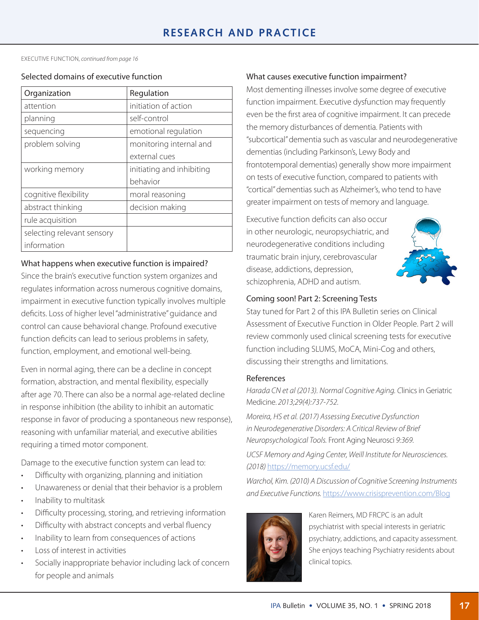EXECUTIVE FUNCTION, *continued from page 16*

### Selected domains of executive function

| Organization               | Regulation                |
|----------------------------|---------------------------|
| attention                  | initiation of action      |
| planning                   | self-control              |
| sequencing                 | emotional regulation      |
| problem solving            | monitoring internal and   |
|                            | external cues             |
| working memory             | initiating and inhibiting |
|                            | behavior                  |
| cognitive flexibility      | moral reasoning           |
| abstract thinking          | decision making           |
| rule acquisition           |                           |
| selecting relevant sensory |                           |
| information                |                           |

## What happens when executive function is impaired?

Since the brain's executive function system organizes and regulates information across numerous cognitive domains, impairment in executive function typically involves multiple deficits. Loss of higher level "administrative" guidance and control can cause behavioral change. Profound executive function deficits can lead to serious problems in safety, function, employment, and emotional well-being.

Even in normal aging, there can be a decline in concept formation, abstraction, and mental flexibility, especially after age 70. There can also be a normal age-related decline in response inhibition (the ability to inhibit an automatic response in favor of producing a spontaneous new response), reasoning with unfamiliar material, and executive abilities requiring a timed motor component.

Damage to the executive function system can lead to:

- • Difficulty with organizing, planning and initiation
- Unawareness or denial that their behavior is a problem
- • Inability to multitask
- Difficulty processing, storing, and retrieving information
- • Difficulty with abstract concepts and verbal fluency
- Inability to learn from consequences of actions
- Loss of interest in activities
- Socially inappropriate behavior including lack of concern for people and animals

## What causes executive function impairment?

Most dementing illnesses involve some degree of executive function impairment. Executive dysfunction may frequently even be the first area of cognitive impairment. It can precede the memory disturbances of dementia. Patients with "subcortical" dementia such as vascular and neurodegenerative dementias (including Parkinson's, Lewy Body and frontotemporal dementias) generally show more impairment on tests of executive function, compared to patients with "cortical" dementias such as Alzheimer's, who tend to have greater impairment on tests of memory and language.

Executive function deficits can also occur in other neurologic, neuropsychiatric, and neurodegenerative conditions including traumatic brain injury, cerebrovascular disease, addictions, depression, schizophrenia, ADHD and autism.



## Coming soon! Part 2: Screening Tests

Stay tuned for Part 2 of this IPA Bulletin series on Clinical Assessment of Executive Function in Older People. Part 2 will review commonly used clinical screening tests for executive function including SLUMS, MoCA, Mini-Cog and others, discussing their strengths and limitations.

## References

*Harada CN et al (2013). Normal Cognitive Aging. C*linics in Geriatric Medicine. *2013;29(4):737-752.* 

*Moreira, HS et al. (2017) Assessing Executive Dysfunction in Neurodegenerative Disorders: A Critical Review of Brief Neuropsychological Tools.* Front Aging Neurosci *9:369.*

*UCSF Memory and Aging Center, Weill Institute for Neurosciences. (2018)* [https://memory.ucsf.edu/](https://memory.ucsf.edu)

*Warchol, Kim. (2010) A Discussion of Cognitive Screening Instruments and Executive Functions.* <https://www.crisisprevention.com/Blog>



Karen Reimers, MD FRCPC is an adult psychiatrist with special interests in geriatric psychiatry, addictions, and capacity assessment. She enjoys teaching Psychiatry residents about clinical topics.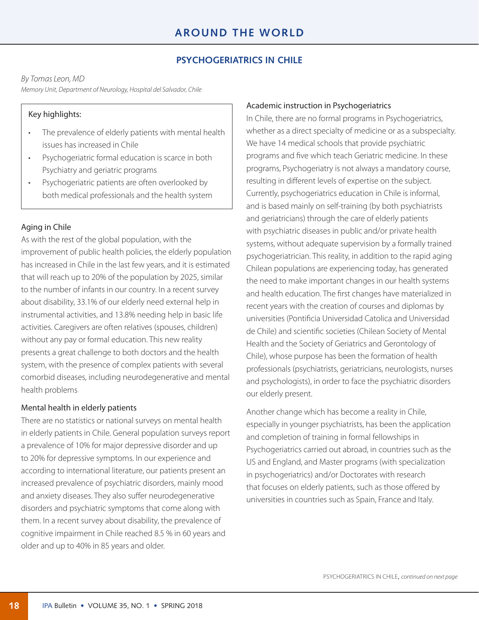## **PSYCHOGERIATRICS IN CHILE**

#### *By Tomas Leon, MD*

*Memory Unit, Department of Neurology, Hospital del Salvador, Chile*

## Key highlights:

- The prevalence of elderly patients with mental health issues has increased in Chile
- Psychogeriatric formal education is scarce in both Psychiatry and geriatric programs
- Psychogeriatric patients are often overlooked by both medical professionals and the health system

## Aging in Chile

As with the rest of the global population, with the improvement of public health policies, the elderly population has increased in Chile in the last few years, and it is estimated that will reach up to 20% of the population by 2025, similar to the number of infants in our country. In a recent survey about disability, 33.1% of our elderly need external help in instrumental activities, and 13.8% needing help in basic life activities. Caregivers are often relatives (spouses, children) without any pay or formal education. This new reality presents a great challenge to both doctors and the health system, with the presence of complex patients with several comorbid diseases, including neurodegenerative and mental health problems

#### Mental health in elderly patients

There are no statistics or national surveys on mental health in elderly patients in Chile. General population surveys report a prevalence of 10% for major depressive disorder and up to 20% for depressive symptoms. In our experience and according to international literature, our patients present an increased prevalence of psychiatric disorders, mainly mood and anxiety diseases. They also suffer neurodegenerative disorders and psychiatric symptoms that come along with them. In a recent survey about disability, the prevalence of cognitive impairment in Chile reached 8.5 % in 60 years and older and up to 40% in 85 years and older.

#### Academic instruction in Psychogeriatrics

In Chile, there are no formal programs in Psychogeriatrics, whether as a direct specialty of medicine or as a subspecialty. We have 14 medical schools that provide psychiatric programs and five which teach Geriatric medicine. In these programs, Psychogeriatry is not always a mandatory course, resulting in different levels of expertise on the subject. Currently, psychogeriatrics education in Chile is informal, and is based mainly on self-training (by both psychiatrists and geriatricians) through the care of elderly patients with psychiatric diseases in public and/or private health systems, without adequate supervision by a formally trained psychogeriatrician. This reality, in addition to the rapid aging Chilean populations are experiencing today, has generated the need to make important changes in our health systems and health education. The first changes have materialized in recent years with the creation of courses and diplomas by universities (Pontificia Universidad Catolica and Universidad de Chile) and scientific societies (Chilean Society of Mental Health and the Society of Geriatrics and Gerontology of Chile), whose purpose has been the formation of health professionals (psychiatrists, geriatricians, neurologists, nurses and psychologists), in order to face the psychiatric disorders our elderly present.

Another change which has become a reality in Chile, especially in younger psychiatrists, has been the application and completion of training in formal fellowships in Psychogeriatrics carried out abroad, in countries such as the US and England, and Master programs (with specialization in psychogeriatrics) and/or Doctorates with research that focuses on elderly patients, such as those offered by universities in countries such as Spain, France and Italy.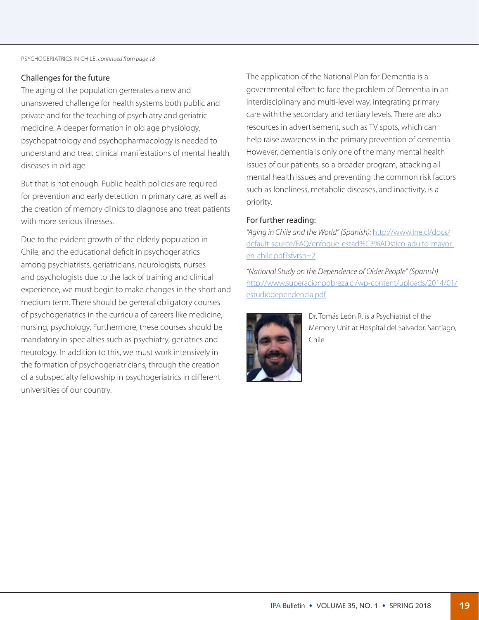## Challenges for the future

The aging of the population generates a new and unanswered challenge for health systems both public and private and for the teaching of psychiatry and geriatric medicine. A deeper formation in old age physiology, psychopathology and psychopharmacology is needed to understand and treat clinical manifestations of mental health diseases in old age.

But that is not enough. Public health policies are required for prevention and early detection in primary care, as well as the creation of memory clinics to diagnose and treat patients with more serious illnesses.

Due to the evident growth of the elderly population in Chile, and the educational deficit in psychogeriatrics among psychiatrists, geriatricians, neurologists, nurses and psychologists due to the lack of training and clinical experience, we must begin to make changes in the short and medium term. There should be general obligatory courses of psychogeriatrics in the curricula of careers like medicine, nursing, psychology. Furthermore, these courses should be mandatory in specialties such as psychiatry, geriatrics and neurology. In addition to this, we must work intensively in the formation of psychogeriatricians, through the creation of a subspecialty fellowship in psychogeriatrics in different universities of our country.

The application of the National Plan for Dementia is a governmental effort to face the problem of Dementia in an interdisciplinary and multi-level way, integrating primary care with the secondary and tertiary levels. There are also resources in advertisement, such as TV spots, which can help raise awareness in the primary prevention of dementia. However, dementia is only one of the many mental health issues of our patients, so a broader program, attacking all mental health issues and preventing the common risk factors such as loneliness, metabolic diseases, and inactivity, is a priority.

## For further reading:

*"Aging in Chile and the World" (Spanish):* [http://www.ine.cl/docs/](http://www.ine.cl/docs/%20default-source/FAQ/enfoque-estad%25C3%25ADstico-adulto-mayor-en-chile.pdf%3Fsfvrsn%3D2%20) [default-source/FAQ/enfoque-estad%C3%ADstico-adulto-mayor](http://www.ine.cl/docs/%20default-source/FAQ/enfoque-estad%25C3%25ADstico-adulto-mayor-en-chile.pdf%3Fsfvrsn%3D2%20)[en-chile.pdf?sfvrsn=2](http://www.ine.cl/docs/%20default-source/FAQ/enfoque-estad%25C3%25ADstico-adulto-mayor-en-chile.pdf%3Fsfvrsn%3D2%20)

*"National Study on the Dependence of Older People" (Spanish)*  [http://www.superacionpobreza.cl/wp-content/uploads/2014/01/](http://www.superacionpobreza.cl/wp-content/uploads/2014/01/estudiodependencia.pdf) [estudiodependencia.pdf](http://www.superacionpobreza.cl/wp-content/uploads/2014/01/estudiodependencia.pdf)



Dr. Tomás León R. is a Psychiatrist of the Memory Unit at Hospital del Salvador, Santiago, Chile.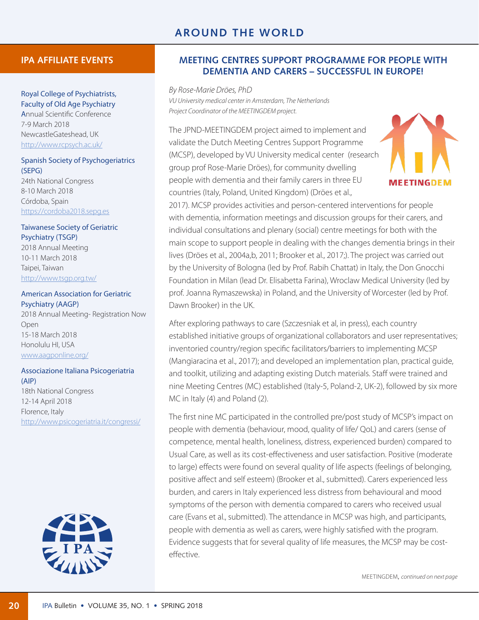## **IPA AFFILIATE EVENTS**

#### Royal College of Psychiatrists, Faculty of Old Age Psychiatry

Annual Scientific Conference 7-9 March 2018 NewcastleGateshead, UK <http://www.rcpsych.ac.uk>/

## Spanish Society of Psychogeriatrics (SEPG)

24th National Congress 8-10 March 2018 Córdoba, Spain <https://cordoba2018.sepg.es>

## Taiwanese Society of Geriatric Psychiatry (TSGP)

2018 Annual Meeting 10-11 March 2018 Taipei, Taiwan [http://www.tsgp.org.tw/](http://www.tsgp.org.tw)

## American Association for Geriatric

Psychiatry (AAGP) 2018 Annual Meeting- Registration Now Open 15-18 March 2018 Honolulu HI, USA [www.aagponline.org/](www.aagponline.org)

#### Associazione Italiana Psicogeriatria (AIP)

18th National Congress 12-14 April 2018 Florence, Italy <http://www.psicogeriatria.it/congressi>/



## **MEETING CENTRES SUPPORT PROGRAMME FOR PEOPLE WITH DEMENTIA AND CARERS – SUCCESSFUL IN EUROPE!**

*By Rose-Marie Dröes, PhD VU University medical center in Amsterdam, The Netherlands Project Coordinator of the MEETINGDEM project.*

The JPND-MEETINGDEM project aimed to implement and validate the Dutch Meeting Centres Support Programme (MCSP), developed by VU University medical center (research group prof Rose-Marie Dröes), for community dwelling people with dementia and their family carers in three EU countries (Italy, Poland, United Kingdom) (Dröes et al.,



2017). MCSP provides activities and person-centered interventions for people with dementia, information meetings and discussion groups for their carers, and individual consultations and plenary (social) centre meetings for both with the main scope to support people in dealing with the changes dementia brings in their lives (Dröes et al., 2004a,b, 2011; Brooker et al., 2017;). The project was carried out by the University of Bologna (led by Prof. Rabih Chattat) in Italy, the Don Gnocchi Foundation in Milan (lead Dr. Elisabetta Farina), Wroclaw Medical University (led by prof. Joanna Rymaszewska) in Poland, and the University of Worcester (led by Prof. Dawn Brooker) in the UK.

After exploring pathways to care (Szczesniak et al, in press), each country established initiative groups of organizational collaborators and user representatives; inventoried country/region specific facilitators/barriers to implementing MCSP (Mangiaracina et al., 2017); and developed an implementation plan, practical guide, and toolkit, utilizing and adapting existing Dutch materials. Staff were trained and nine Meeting Centres (MC) established (Italy-5, Poland-2, UK-2), followed by six more MC in Italy (4) and Poland (2).

The first nine MC participated in the controlled pre/post study of MCSP's impact on people with dementia (behaviour, mood, quality of life/ QoL) and carers (sense of competence, mental health, loneliness, distress, experienced burden) compared to Usual Care, as well as its cost-effectiveness and user satisfaction. Positive (moderate to large) effects were found on several quality of life aspects (feelings of belonging, positive affect and self esteem) (Brooker et al., submitted). Carers experienced less burden, and carers in Italy experienced less distress from behavioural and mood symptoms of the person with dementia compared to carers who received usual care (Evans et al., submitted). The attendance in MCSP was high, and participants, people with dementia as well as carers, were highly satisfied with the program. Evidence suggests that for several quality of life measures, the MCSP may be costeffective.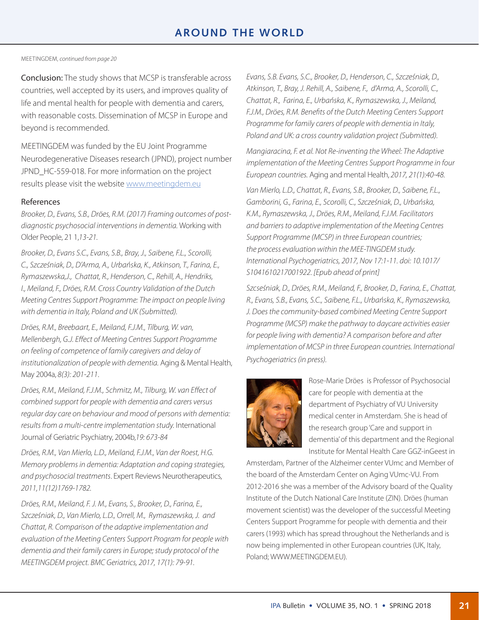# **AROUND THE WORLD**

#### MEETINGDEM, *continued from page 20*

Conclusion: The study shows that MCSP is transferable across countries, well accepted by its users, and improves quality of life and mental health for people with dementia and carers, with reasonable costs. Dissemination of MCSP in Europe and beyond is recommended.

MEETINGDEM was funded by the EU Joint Programme Neurodegenerative Diseases research (JPND), project number JPND\_HC-559-018. For more information on the project results please visit the website<www.meetingdem.eu>

#### References

*Brooker, D., Evans, S.B., Dröes, R.M. (2017) Framing outcomes of postdiagnostic psychosocial interventions in dementia.* Working with Older People, 21 1,*13-21.*

*Brooker, D., Evans S.C., Evans, S.B., Bray, J., Saibene, F.L., Scorolli, C., Szcześniak, D., D'Arma, A., Urbańska, K., Atkinson, T., Farina, E., Rymaszewska,J., Chattat, R., Henderson, C., Rehill, A., Hendriks, I., Meiland, F., Dröes, R.M. Cross Country Validation of the Dutch Meeting Centres Support Programme: The impact on people living with dementia in Italy, Poland and UK (Submitted).*

*Dröes, R.M., Breebaart, E., Meiland, F.J.M., Tilburg, W. van, Mellenbergh, G.J. Effect of Meeting Centres Support Programme on feeling of competence of family caregivers and delay of institutionalization of people with dementia.* Aging & Mental Health, May 2004a, *8(3): 201-211*.

*Dröes, R.M., Meiland, F.J.M., Schmitz, M., Tilburg, W. van Effect of combined support for people with dementia and carers versus regular day care on behaviour and mood of persons with dementia: results from a multi-centre implementation study.* International Journal of Geriatric Psychiatry, 2004b,*19: 673-84*

*Dröes, R.M., Van Mierlo, L.D., Meiland, F.J.M., Van der Roest, H.G. Memory problems in dementia: Adaptation and coping strategies, and psychosocial treatments*. Expert Reviews Neurotherapeutics, *2011,11(12)1769-1782.*

*Dröes, R.M., Meiland, F. J. M., Evans, S., Brooker, D., Farina, E., Szcześniak, D., Van Mierlo, L.D., Orrell, M., Rymaszewska, J. and Chattat, R. Comparison of the adaptive implementation and evaluation of the Meeting Centers Support Program for people with dementia and their family carers in Europe; study protocol of the MEETINGDEM project. BMC Geriatrics, 2017, 17(1): 79-91.*

*Evans, S.B. Evans, S.C., Brooker, D., Henderson, C., Szcześniak, D., Atkinson, T., Bray, J. Rehill, A., Saibene, F., d'Arma, A., Scorolli, C., Chattat, R., Farina, E., Urbańska, K., Rymaszewska, J., Meiland, F.J.M., Dröes, R.M. Benefits of the Dutch Meeting Centers Support Programme for family carers of people with dementia in Italy, Poland and UK: a cross country validation project (Submitted).*

*Mangiaracina, F. et al. Not Re-inventing the Wheel: The Adaptive implementation of the Meeting Centres Support Programme in four European countries.* Aging and mental Health, *2017, 21(1):40-48.*

*Van Mierlo, L.D., Chattat, R., Evans, S.B., Brooker, D., Saibene, F.L., Gamborini, G., Farina, E., Scorolli, C., Szcześniak, D., Urbańska, K.M., Rymaszewska, J., Dröes, R.M., Meiland, F.J.M. Facilitators and barriers to adaptive implementation of the Meeting Centres Support Programme (MCSP) in three European countries; the process evaluation within the MEE-TINGDEM study. International Psychogeriatrics, 2017, Nov 17:1-11. doi: 10.1017/ S1041610217001922. [Epub ahead of print]*

*Szcseśniak, D., Dröes, R.M., Meiland, F., Brooker, D., Farina, E., Chattat, R., Evans, S.B., Evans, S.C., Saibene, F.L., Urbańska, K., Rymaszewska, J. Does the community-based combined Meeting Centre Support Programme (MCSP) make the pathway to daycare activities easier for people living with dementia? A comparison before and after implementation of MCSP in three European countries. International Psychogeriatrics (in press).*



Rose-Marie Dröes is Professor of Psychosocial care for people with dementia at the department of Psychiatry of VU University medical center in Amsterdam. She is head of the research group 'Care and support in dementia' of this department and the Regional Institute for Mental Health Care GGZ-inGeest in

Amsterdam, Partner of the Alzheimer center VUmc and Member of the board of the Amsterdam Center on Aging VUmc-VU. From 2012-2016 she was a member of the Advisory board of the Quality Institute of the Dutch National Care Institute (ZIN). Dröes (human movement scientist) was the developer of the successful Meeting Centers Support Programme for people with dementia and their carers (1993) which has spread throughout the Netherlands and is now being implemented in other European countries (UK, Italy, Poland;<WWW.MEETINGDEM.EU>).